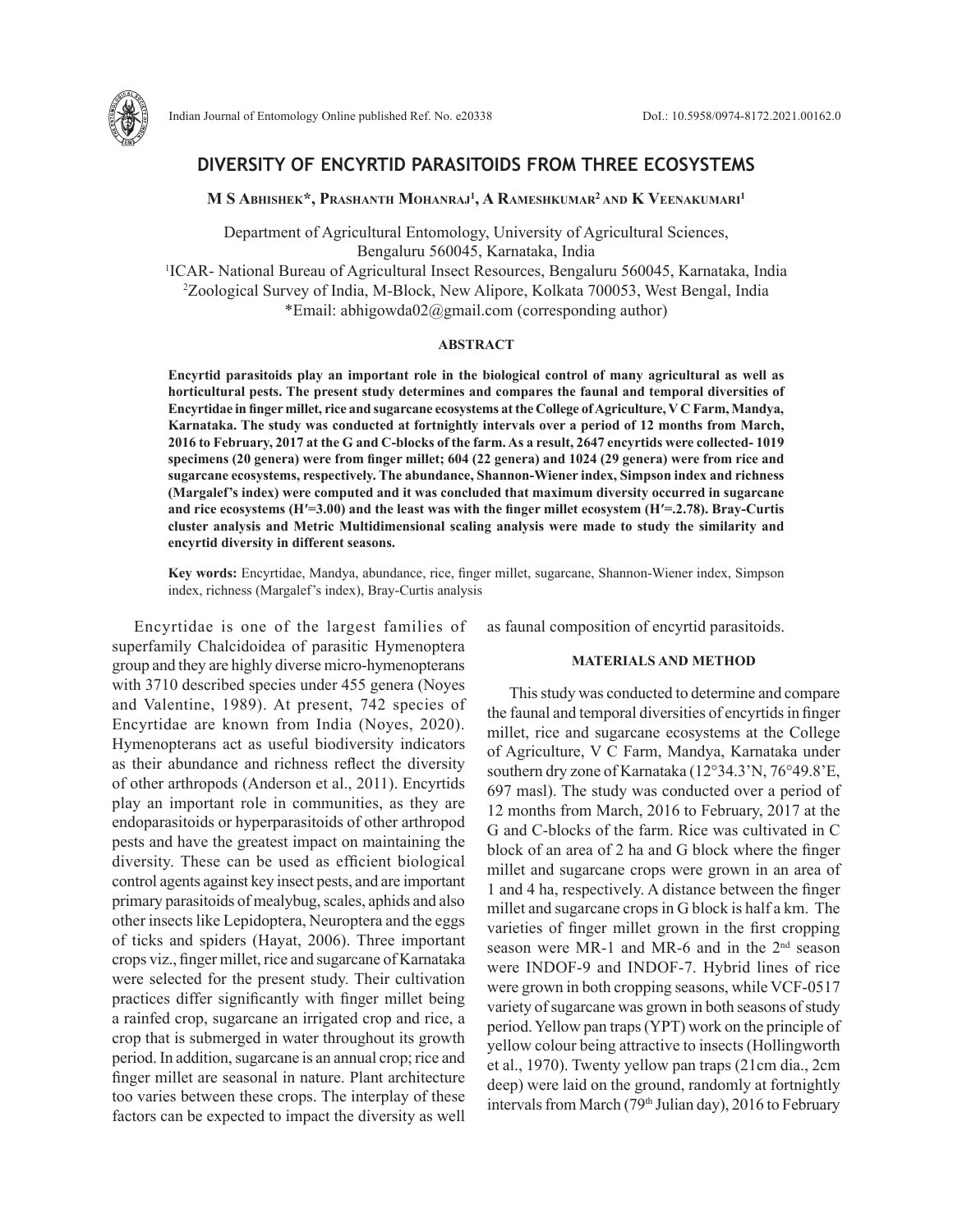

# **DIVERSITY OF ENCYRTID PARASITOIDS FROM THREE ECOSYSTEMS**

**M S Abhishek\*, Prashanth Mohanraj1 , A Rameshkumar2 and K Veenakumari1** 

Department of Agricultural Entomology, University of Agricultural Sciences, Bengaluru 560045, Karnataka, India

1 ICAR- National Bureau of Agricultural Insect Resources, Bengaluru 560045, Karnataka, India 2 Zoological Survey of India, M-Block, New Alipore, Kolkata 700053, West Bengal, India \*Email: abhigowda02@gmail.com (corresponding author)

### **ABSTRACT**

**Encyrtid parasitoids play an important role in the biological control of many agricultural as well as horticultural pests. The present study determines and compares the faunal and temporal diversities of Encyrtidae in finger millet, rice and sugarcane ecosystems at the College of Agriculture, V C Farm, Mandya, Karnataka. The study was conducted at fortnightly intervals over a period of 12 months from March, 2016 to February, 2017 at the G and C-blocks of the farm. As a result, 2647 encyrtids were collected- 1019 specimens (20 genera) were from finger millet; 604 (22 genera) and 1024 (29 genera) were from rice and sugarcane ecosystems, respectively. The abundance, Shannon-Wiener index, Simpson index and richness (Margalef's index) were computed and it was concluded that maximum diversity occurred in sugarcane and rice ecosystems (Hʹ=3.00) and the least was with the finger millet ecosystem (Hʹ=.2.78). Bray-Curtis cluster analysis and Metric Multidimensional scaling analysis were made to study the similarity and encyrtid diversity in different seasons.** 

**Key words:** Encyrtidae, Mandya, abundance, rice, finger millet, sugarcane, Shannon-Wiener index, Simpson index, richness (Margalef's index), Bray-Curtis analysis

Encyrtidae is one of the largest families of superfamily Chalcidoidea of parasitic Hymenoptera group and they are highly diverse micro-hymenopterans with 3710 described species under 455 genera (Noyes and Valentine, 1989). At present, 742 species of Encyrtidae are known from India (Noyes, 2020). Hymenopterans act as useful biodiversity indicators as their abundance and richness reflect the diversity of other arthropods (Anderson et al., 2011). Encyrtids play an important role in communities, as they are endoparasitoids or hyperparasitoids of other arthropod pests and have the greatest impact on maintaining the diversity. These can be used as efficient biological control agents against key insect pests, and are important primary parasitoids of mealybug, scales, aphids and also other insects like Lepidoptera, Neuroptera and the eggs of ticks and spiders (Hayat, 2006). Three important crops viz., finger millet, rice and sugarcane of Karnataka were selected for the present study. Their cultivation practices differ significantly with finger millet being a rainfed crop, sugarcane an irrigated crop and rice, a crop that is submerged in water throughout its growth period. In addition, sugarcane is an annual crop; rice and finger millet are seasonal in nature. Plant architecture too varies between these crops. The interplay of these factors can be expected to impact the diversity as well

as faunal composition of encyrtid parasitoids.

## **MATERIALS AND METHOD**

This study was conducted to determine and compare the faunal and temporal diversities of encyrtids in finger millet, rice and sugarcane ecosystems at the College of Agriculture, V C Farm, Mandya, Karnataka under southern dry zone of Karnataka (12°34.3'N, 76°49.8'E, 697 masl). The study was conducted over a period of 12 months from March, 2016 to February, 2017 at the G and C-blocks of the farm. Rice was cultivated in C block of an area of 2 ha and G block where the finger millet and sugarcane crops were grown in an area of 1 and 4 ha, respectively. A distance between the finger millet and sugarcane crops in G block is half a km. The varieties of finger millet grown in the first cropping season were MR-1 and MR-6 and in the 2<sup>nd</sup> season were INDOF-9 and INDOF-7. Hybrid lines of rice were grown in both cropping seasons, while VCF-0517 variety of sugarcane was grown in both seasons of study period. Yellow pan traps (YPT) work on the principle of yellow colour being attractive to insects (Hollingworth et al., 1970). Twenty yellow pan traps (21cm dia., 2cm deep) were laid on the ground, randomly at fortnightly intervals from March (79<sup>th</sup> Julian day), 2016 to February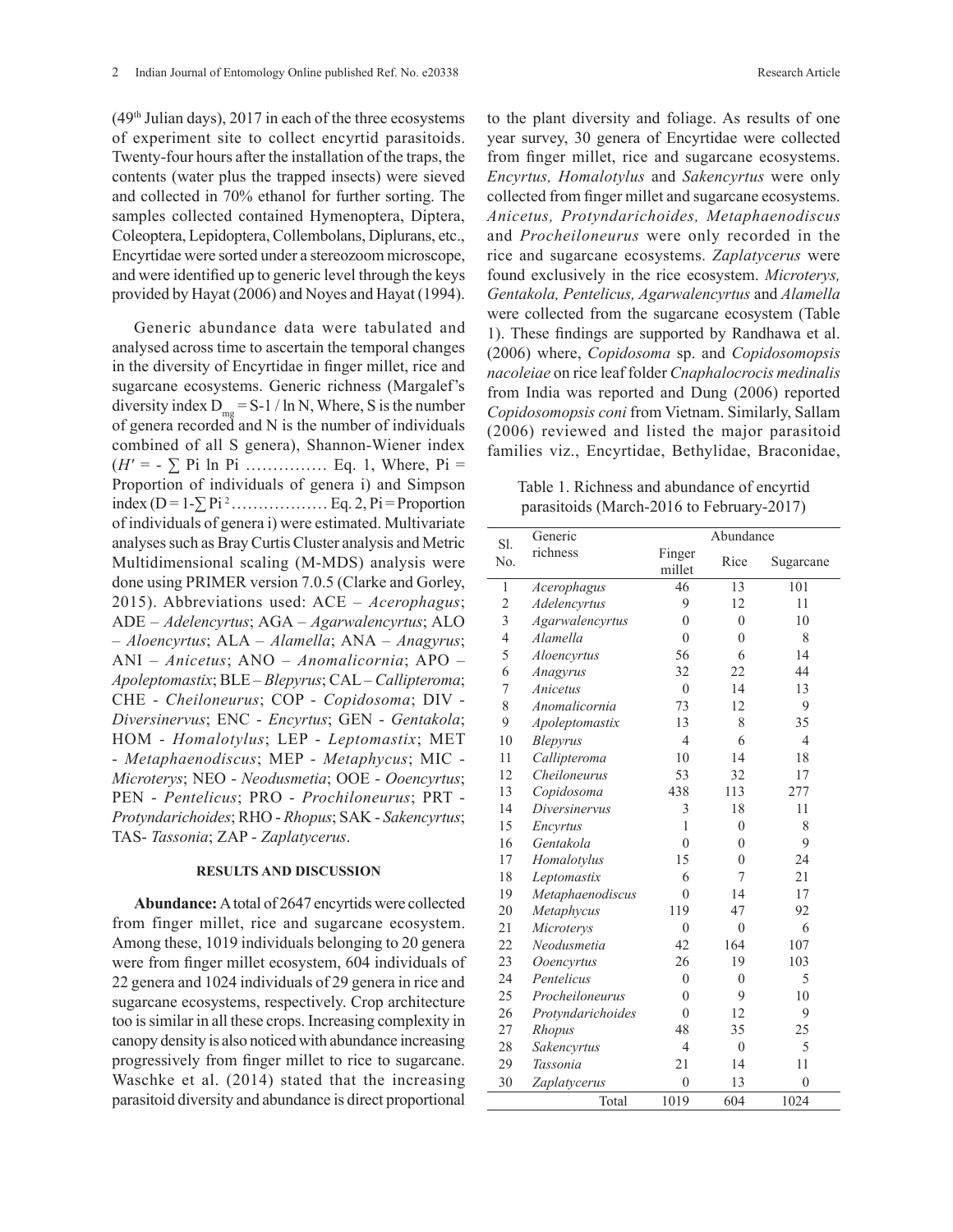$(49<sup>th</sup> Julian days)$ , 2017 in each of the three ecosystems of experiment site to collect encyrtid parasitoids. Twenty-four hours after the installation of the traps, the contents (water plus the trapped insects) were sieved and collected in 70% ethanol for further sorting. The samples collected contained Hymenoptera, Diptera, Coleoptera, Lepidoptera, Collembolans, Diplurans, etc., Encyrtidae were sorted under a stereozoom microscope, and were identified up to generic level through the keys provided by Hayat (2006) and Noyes and Hayat (1994).

Generic abundance data were tabulated and analysed across time to ascertain the temporal changes in the diversity of Encyrtidae in finger millet, rice and sugarcane ecosystems. Generic richness (Margalef's diversity index  $D_{mg} = S-1 / \ln N$ , Where, S is the number of genera recorded and N is the number of individuals combined of all S genera), Shannon-Wiener index (*Hʹ* = - ∑ Pi ln Pi …………… Eq. 1, Where, Pi = Proportion of individuals of genera i) and Simpson index (D = 1-∑ Pi <sup>2</sup>……………… Eq. 2, Pi = Proportion of individuals of genera i) were estimated. Multivariate analyses such as Bray Curtis Cluster analysis and Metric Multidimensional scaling (M-MDS) analysis were done using PRIMER version 7.0.5 (Clarke and Gorley, 2015). Abbreviations used: ACE – *Acerophagus*; ADE – *Adelencyrtus*; AGA – *Agarwalencyrtus*; ALO – *Aloencyrtus*; ALA – *Alamella*; ANA – *Anagyrus*; ANI – *Anicetus*; ANO – *Anomalicornia*; APO – *Apoleptomastix*; BLE – *Blepyrus*; CAL – *Callipteroma*; CHE - *Cheiloneurus*; COP - *Copidosoma*; DIV - *Diversinervus*; ENC - *Encyrtus*; GEN - *Gentakola*; HOM - *Homalotylus*; LEP - *Leptomastix*; MET - *Metaphaenodiscus*; MEP - *Metaphycus*; MIC - *Microterys*; NEO - *Neodusmetia*; OOE - *Ooencyrtus*; PEN - *Pentelicus*; PRO - *Prochiloneurus*; PRT - *Protyndarichoides*; RHO - *Rhopus*; SAK - *Sakencyrtus*; TAS- *Tassonia*; ZAP - *Zaplatycerus*.

## **RESULTS AND DISCUSSION**

**Abundance:** A total of 2647 encyrtids were collected from finger millet, rice and sugarcane ecosystem. Among these, 1019 individuals belonging to 20 genera were from finger millet ecosystem, 604 individuals of 22 genera and 1024 individuals of 29 genera in rice and sugarcane ecosystems, respectively. Crop architecture too is similar in all these crops. Increasing complexity in canopy density is also noticed with abundance increasing progressively from finger millet to rice to sugarcane. Waschke et al. (2014) stated that the increasing parasitoid diversity and abundance is direct proportional

to the plant diversity and foliage. As results of one year survey, 30 genera of Encyrtidae were collected from finger millet, rice and sugarcane ecosystems. *Encyrtus, Homalotylus* and *Sakencyrtus* were only collected from finger millet and sugarcane ecosystems. *Anicetus, Protyndarichoides, Metaphaenodiscus*  and *Procheiloneurus* were only recorded in the rice and sugarcane ecosystems. *Zaplatycerus* were found exclusively in the rice ecosystem. *Microterys, Gentakola, Pentelicus, Agarwalencyrtus* and *Alamella*  were collected from the sugarcane ecosystem (Table 1). These findings are supported by Randhawa et al. (2006) where, *Copidosoma* sp. and *Copidosomopsis nacoleiae* on rice leaf folder *Cnaphalocrocis medinalis* from India was reported and Dung (2006) reported *Copidosomopsis coni* from Vietnam. Similarly, Sallam (2006) reviewed and listed the major parasitoid families viz., Encyrtidae, Bethylidae, Braconidae,

Table 1. Richness and abundance of encyrtid parasitoids (March-2016 to February-2017)

| S1.            | Generic           | Abundance      |                |                |
|----------------|-------------------|----------------|----------------|----------------|
| No.            | richness          | Finger         | Rice           | Sugarcane      |
|                |                   | millet         |                |                |
| $\mathbf{1}$   | Acerophagus       | 46             | 13             | 101            |
| $\overline{c}$ | Adelencyrtus      | 9              | 12             | 11             |
| 3              | Agarwalencyrtus   | $\theta$       | $\theta$       | 10             |
| $\overline{4}$ | Alamella          | $\overline{0}$ | $\overline{0}$ | 8              |
| 5              | Aloencyrtus       | 56             | 6              | 14             |
| 6              | Anagyrus          | 32             | 22             | 44             |
| 7              | Anicetus          | $\overline{0}$ | 14             | 13             |
| 8              | Anomalicornia     | 73             | 12             | 9              |
| 9              | Apoleptomastix    | 13             | 8              | 35             |
| 10             | Blepyrus          | $\overline{4}$ | 6              | $\overline{4}$ |
| 11             | Callipteroma      | 10             | 14             | 18             |
| 12             | Cheiloneurus      | 53             | 32             | 17             |
| 13             | Copidosoma        | 438            | 113            | 277            |
| 14             | Diversinervus     | 3              | 18             | 11             |
| 15             | Encyrtus          | 1              | $\mathbf{0}$   | 8              |
| 16             | Gentakola         | $\theta$       | $\overline{0}$ | 9              |
| 17             | Homalotylus       | 15             | $\theta$       | 24             |
| 18             | Leptomastix       | 6              | 7              | 21             |
| 19             | Metaphaenodiscus  | $\theta$       | 14             | 17             |
| 20             | Metaphycus        | 119            | 47             | 92             |
| 21             | Microterys        | $\overline{0}$ | $\overline{0}$ | 6              |
| 22             | Neodusmetia       | 42             | 164            | 107            |
| 23             | Ooencyrtus        | 26             | 19             | 103            |
| 24             | Pentelicus        | $\overline{0}$ | $\overline{0}$ | 5              |
| 25             | Procheiloneurus   | $\overline{0}$ | 9              | 10             |
| 26             | Protyndarichoides | $\theta$       | 12             | 9              |
| 27             | Rhopus            | 48             | 35             | 25             |
| 28             | Sakencyrtus       | $\overline{4}$ | $\overline{0}$ | 5              |
| 29             | Tassonia          | 21             | 14             | 11             |
| 30             | Zaplatycerus      | $\overline{0}$ | 13             | $\overline{0}$ |
|                | Total             | 1019           | 604            | 1024           |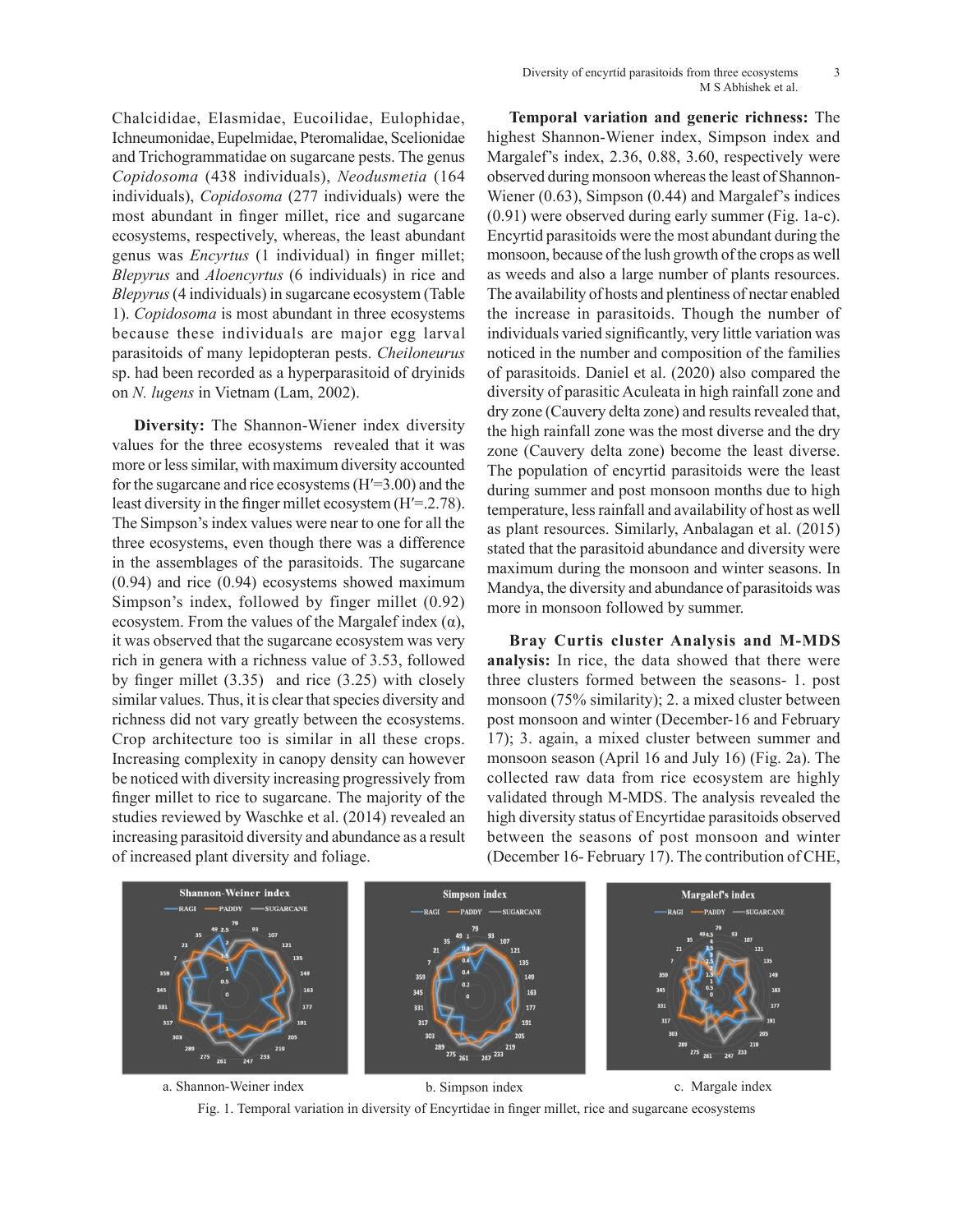Chalcididae, Elasmidae, Eucoilidae, Eulophidae, Ichneumonidae, Eupelmidae, Pteromalidae, Scelionidae and Trichogrammatidae on sugarcane pests. The genus *Copidosoma* (438 individuals), *Neodusmetia* (164 individuals), *Copidosoma* (277 individuals) were the most abundant in finger millet, rice and sugarcane ecosystems, respectively, whereas, the least abundant genus was *Encyrtus* (1 individual) in finger millet; *Blepyrus* and *Aloencyrtus* (6 individuals) in rice and *Blepyrus* (4 individuals) in sugarcane ecosystem (Table 1). *Copidosoma* is most abundant in three ecosystems because these individuals are major egg larval parasitoids of many lepidopteran pests. *Cheiloneurus*  sp. had been recorded as a hyperparasitoid of dryinids on *N. lugens* in Vietnam (Lam, 2002).

**Diversity:** The Shannon-Wiener index diversity values for the three ecosystems revealed that it was more or less similar, with maximum diversity accounted for the sugarcane and rice ecosystems (Hʹ=3.00) and the least diversity in the finger millet ecosystem (H<sup>'=</sup>.2.78). The Simpson's index values were near to one for all the three ecosystems, even though there was a difference in the assemblages of the parasitoids. The sugarcane (0.94) and rice (0.94) ecosystems showed maximum Simpson's index, followed by finger millet (0.92) ecosystem. From the values of the Margalef index  $(\alpha)$ , it was observed that the sugarcane ecosystem was very rich in genera with a richness value of 3.53, followed by finger millet (3.35) and rice (3.25) with closely similar values. Thus, it is clear that species diversity and richness did not vary greatly between the ecosystems. Crop architecture too is similar in all these crops. Increasing complexity in canopy density can however be noticed with diversity increasing progressively from finger millet to rice to sugarcane. The majority of the studies reviewed by Waschke et al. (2014) revealed an increasing parasitoid diversity and abundance as a result of increased plant diversity and foliage.

**Temporal variation and generic richness:** The highest Shannon-Wiener index, Simpson index and Margalef's index, 2.36, 0.88, 3.60, respectively were observed during monsoon whereas the least of Shannon-Wiener (0.63), Simpson (0.44) and Margalef's indices (0.91) were observed during early summer (Fig. 1a-c). Encyrtid parasitoids were the most abundant during the monsoon, because of the lush growth of the crops as well as weeds and also a large number of plants resources. The availability of hosts and plentiness of nectar enabled the increase in parasitoids. Though the number of individuals varied significantly, very little variation was noticed in the number and composition of the families of parasitoids. Daniel et al. (2020) also compared the diversity of parasitic Aculeata in high rainfall zone and dry zone (Cauvery delta zone) and results revealed that, the high rainfall zone was the most diverse and the dry zone (Cauvery delta zone) become the least diverse. The population of encyrtid parasitoids were the least during summer and post monsoon months due to high temperature, less rainfall and availability of host as well as plant resources. Similarly, Anbalagan et al. (2015) stated that the parasitoid abundance and diversity were maximum during the monsoon and winter seasons. In Mandya, the diversity and abundance of parasitoids was more in monsoon followed by summer.

**Bray Curtis cluster Analysis and M-MDS analysis:** In rice, the data showed that there were three clusters formed between the seasons- 1. post monsoon (75% similarity); 2. a mixed cluster between post monsoon and winter (December-16 and February 17); 3. again, a mixed cluster between summer and monsoon season (April 16 and July 16) (Fig. 2a). The collected raw data from rice ecosystem are highly validated through M-MDS. The analysis revealed the high diversity status of Encyrtidae parasitoids observed between the seasons of post monsoon and winter (December 16- February 17). The contribution of CHE,



Fig. 1. Temporal variation in diversity of Encyrtidae in finger millet, rice and sugarcane ecosystems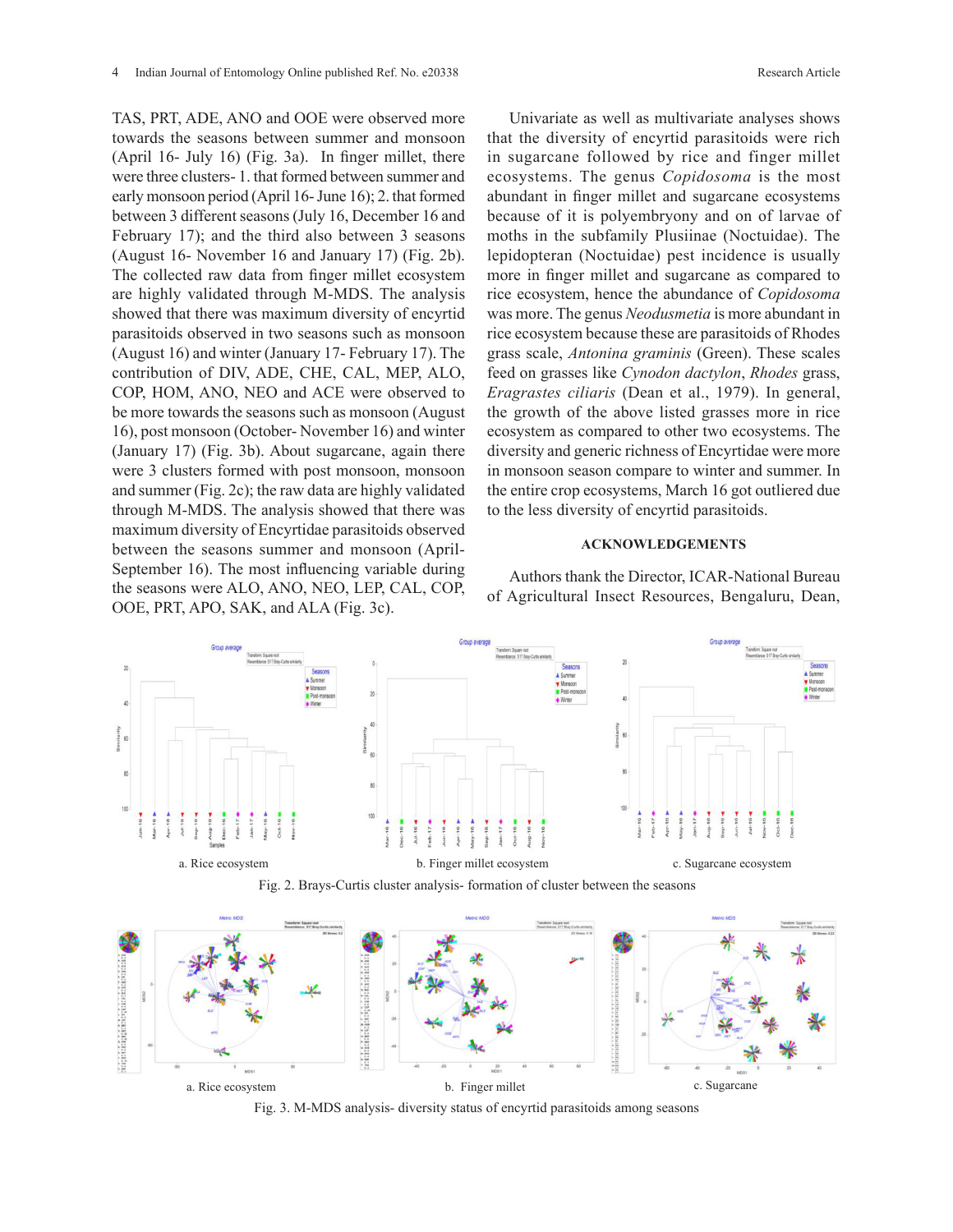TAS, PRT, ADE, ANO and OOE were observed more towards the seasons between summer and monsoon (April 16- July 16) (Fig. 3a). In finger millet, there were three clusters- 1. that formed between summer and early monsoon period (April 16- June 16); 2. that formed between 3 different seasons (July 16, December 16 and February 17); and the third also between 3 seasons (August 16- November 16 and January 17) (Fig. 2b). The collected raw data from finger millet ecosystem are highly validated through M-MDS. The analysis showed that there was maximum diversity of encyrtid parasitoids observed in two seasons such as monsoon (August 16) and winter (January 17- February 17). The contribution of DIV, ADE, CHE, CAL, MEP, ALO, COP, HOM, ANO, NEO and ACE were observed to be more towards the seasons such as monsoon (August 16), post monsoon (October- November 16) and winter (January 17) (Fig. 3b). About sugarcane, again there were 3 clusters formed with post monsoon, monsoon and summer (Fig. 2c); the raw data are highly validated through M-MDS. The analysis showed that there was maximum diversity of Encyrtidae parasitoids observed between the seasons summer and monsoon (April-September 16). The most influencing variable during the seasons were ALO, ANO, NEO, LEP, CAL, COP,

OOE, PRT, APO, SAK, and ALA (Fig. 3c).

Univariate as well as multivariate analyses shows that the diversity of encyrtid parasitoids were rich in sugarcane followed by rice and finger millet ecosystems. The genus *Copidosoma* is the most abundant in finger millet and sugarcane ecosystems because of it is polyembryony and on of larvae of moths in the subfamily Plusiinae (Noctuidae). The lepidopteran (Noctuidae) pest incidence is usually more in finger millet and sugarcane as compared to rice ecosystem, hence the abundance of *Copidosoma* was more. The genus *Neodusmetia* is more abundant in rice ecosystem because these are parasitoids of Rhodes grass scale, *Antonina graminis* (Green). These scales feed on grasses like *Cynodon dactylon*, *Rhodes* grass, *Eragrastes ciliaris* (Dean et al., 1979). In general, the growth of the above listed grasses more in rice ecosystem as compared to other two ecosystems. The diversity and generic richness of Encyrtidae were more in monsoon season compare to winter and summer. In the entire crop ecosystems, March 16 got outliered due to the less diversity of encyrtid parasitoids.

## **ACKNOWLEDGEMENTS**

Authors thank the Director, ICAR-National Bureau of Agricultural Insect Resources, Bengaluru, Dean,



Fig. 2. Brays-Curtis cluster analysis- formation of cluster between the seasons



Fig. 3. M-MDS analysis- diversity status of encyrtid parasitoids among seasons